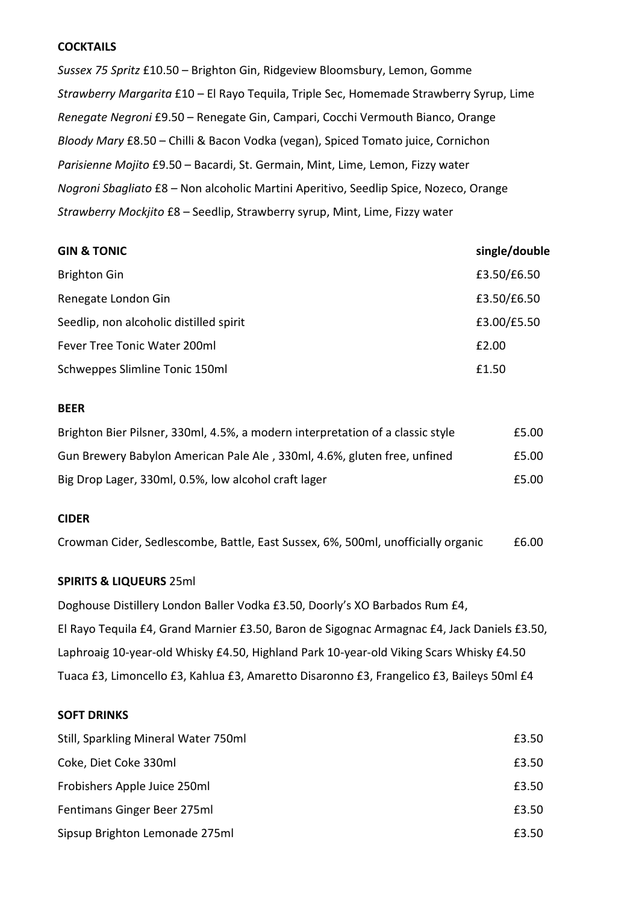## **COCKTAILS**

*Sussex 75 Spritz* £10.50 – Brighton Gin, Ridgeview Bloomsbury, Lemon, Gomme *Strawberry Margarita* £10 – El Rayo Tequila, Triple Sec, Homemade Strawberry Syrup, Lime *Renegate Negroni* £9.50 – Renegate Gin, Campari, Cocchi Vermouth Bianco, Orange *Bloody Mary* £8.50 – Chilli & Bacon Vodka (vegan), Spiced Tomato juice, Cornichon *Parisienne Mojito* £9.50 – Bacardi, St. Germain, Mint, Lime, Lemon, Fizzy water *Nogroni Sbagliato* £8 *–* Non alcoholic Martini Aperitivo, Seedlip Spice, Nozeco, Orange *Strawberry Mockjito* £8 – Seedlip, Strawberry syrup, Mint, Lime, Fizzy water

| <b>GIN &amp; TONIC</b>                  | single/double |
|-----------------------------------------|---------------|
| <b>Brighton Gin</b>                     | £3.50/£6.50   |
| Renegate London Gin                     | £3.50/£6.50   |
| Seedlip, non alcoholic distilled spirit | £3.00/£5.50   |
| Fever Tree Tonic Water 200ml            | £2.00         |
| Schweppes Slimline Tonic 150ml          | £1.50         |

### **BEER**

| Brighton Bier Pilsner, 330ml, 4.5%, a modern interpretation of a classic style | £5.00 |
|--------------------------------------------------------------------------------|-------|
| Gun Brewery Babylon American Pale Ale, 330ml, 4.6%, gluten free, unfined       | £5.00 |
| Big Drop Lager, 330ml, 0.5%, low alcohol craft lager                           | £5.00 |

#### **CIDER**

Crowman Cider, Sedlescombe, Battle, East Sussex, 6%, 500ml, unofficially organic £6.00

# **SPIRITS & LIQUEURS** 25ml

Doghouse Distillery London Baller Vodka £3.50, Doorly's XO Barbados Rum £4, El Rayo Tequila £4, Grand Marnier £3.50, Baron de Sigognac Armagnac £4, Jack Daniels £3.50, Laphroaig 10-year-old Whisky £4.50, Highland Park 10-year-old Viking Scars Whisky £4.50 Tuaca £3, Limoncello £3, Kahlua £3, Amaretto Disaronno £3, Frangelico £3, Baileys 50ml £4

## **SOFT DRINKS**

| Still, Sparkling Mineral Water 750ml | £3.50 |
|--------------------------------------|-------|
| Coke, Diet Coke 330ml                | £3.50 |
| Frobishers Apple Juice 250ml         | £3.50 |
| Fentimans Ginger Beer 275ml          | £3.50 |
| Sipsup Brighton Lemonade 275ml       | £3.50 |